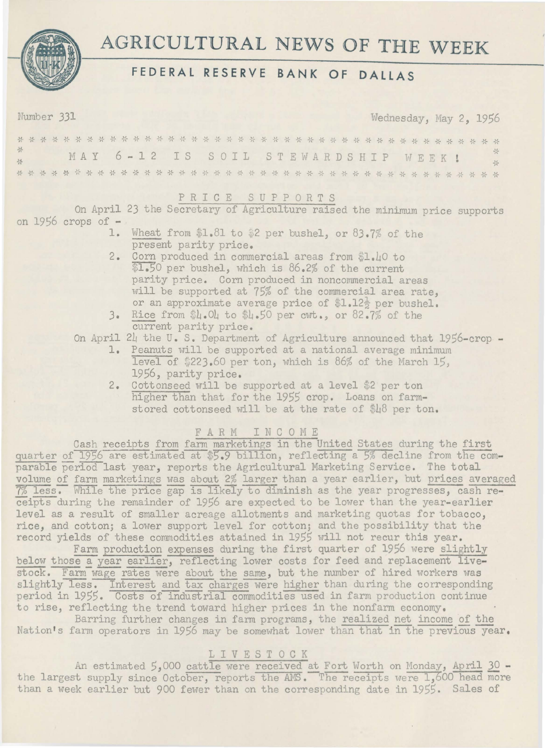

# **AGRICULTURAL NEWS OF THE WEEK**

## **FEDERAL RESERVE BANK OF DALLAS**

Number 331 ... Wednesday, May 2, 1956

| $\frac{1}{2} \frac{1}{2} \frac{1}{2} \frac{1}{2} \frac{1}{2} \frac{1}{2} \frac{1}{2} \frac{1}{2} \frac{1}{2} \frac{1}{2} \frac{1}{2} \frac{1}{2} \frac{1}{2} \frac{1}{2} \frac{1}{2} \frac{1}{2} \frac{1}{2} \frac{1}{2} \frac{1}{2} \frac{1}{2} \frac{1}{2} \frac{1}{2} \frac{1}{2} \frac{1}{2} \frac{1}{2} \frac{1}{2} \frac{1}{2} \frac{1}{2} \frac{1}{2} \frac{1}{2} \frac{1}{2} \frac{$ |  |  |  | MAY 6-12 IS SOIL STEWARDSHIP WEEK! |  |  |  |  |  |  |  |  |  |  |  |  |  |  |  |  | $\frac{1}{2}$ |
|----------------------------------------------------------------------------------------------------------------------------------------------------------------------------------------------------------------------------------------------------------------------------------------------------------------------------------------------------------------------------------------------|--|--|--|------------------------------------|--|--|--|--|--|--|--|--|--|--|--|--|--|--|--|--|---------------|
| $\frac{1}{2}$                                                                                                                                                                                                                                                                                                                                                                                |  |  |  |                                    |  |  |  |  |  |  |  |  |  |  |  |  |  |  |  |  | $\frac{1}{2}$ |
|                                                                                                                                                                                                                                                                                                                                                                                              |  |  |  |                                    |  |  |  |  |  |  |  |  |  |  |  |  |  |  |  |  |               |

### P R I C E S U P P 0 R T S

On April 23 the Secretary of Agriculture raised the minimum price supports on  $1956$  crops of  $-$ 

- 1. Wheat from  $1.81$  to  $2$  per bushel, or  $83.7\%$  of the present parity price.
- 2. Corn produced in commercial areas from \$1.40 to \$1.50 per bushel, which is 86.2% of the current parity price. Corn produced in noncommercial areas will be supported at 75% of the commercial area rate, or an approximate average price of  $L.12\frac{1}{2}$  per bushel.
- 3. Rice from \$L.OL to \$L.50 per cwt., or 82.7% of the current parity price.

On April 24 the U. S. Department of Agriculture announced that 1956-crop -

- 1. Peanuts will be supported at a national average minimum level of  $$223.60$  per ton, which is 86% of the March 15, 1956, parity price.
- 2. Cottonseed will be supported at a level \$2 per ton higher than that for the 1955 crop. Loans on farmstored cottonseed will be at the rate of \$18 per ton.

### FARM INCOME

Cash receipts from farm marketings in the United States during the first quarter of 1956 are estimated at \$5.9 billion, reflecting a 5% decline from the comparable period last year, reports the Agricultural Marketing Service. The total volume of farm marketings was about 2% larger than a year earlier, but prices averaged 7% less. While the price gap is likely to diminish as the year progresses, cash receipts during the remainder of 1956 are expected to be lower than the year-earlier level as a result of smaller acreage allotments and marketing quotas for tobacco, rice, and cotton; a lower support level for cotton; and the possibility that the record yields of these commodities attained in 1955 will not recur this year.

Farm production expenses during the first quarter of 1956 were slightly below those a year earlier, reflecting lower costs for feed and replacement livestock. Farm wage rates were about the same, but the number of hired workers was slightly less. Interest and tax charges were higher than during the corresponding period in 1955. Costs of industrial commodities used in farm production continue to rise, reflecting the trend toward higher prices in the nonfarm economy.

Barring further changes in farm programs, the realized net income of the Nation's farm operators in 1956 may be somewhat lower than that in the previous year,

### LIVESTOCK

An estimated *5,000* cattle were received at Fort Worth on Monday, April 30 the largest supply since October, reports the AMS. The receipts were 1,600 head more than a week earlier but 900 fewer than on the corresponding date in 1955. Sales of